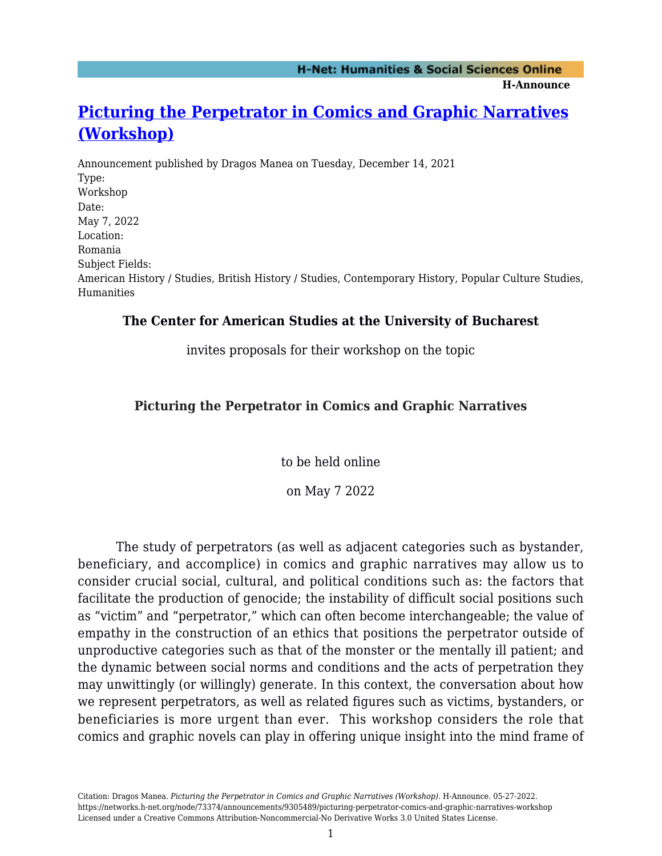**H-Announce** 

# **[Picturing the Perpetrator in Comics and Graphic Narratives](https://networks.h-net.org/node/73374/announcements/9305489/picturing-perpetrator-comics-and-graphic-narratives-workshop) [\(Workshop\)](https://networks.h-net.org/node/73374/announcements/9305489/picturing-perpetrator-comics-and-graphic-narratives-workshop)**

Announcement published by Dragos Manea on Tuesday, December 14, 2021 Type: Workshop Date: May 7, 2022 Location: Romania Subject Fields: American History / Studies, British History / Studies, Contemporary History, Popular Culture Studies, Humanities

### **The Center for American Studies at the University of Bucharest**

invites proposals for their workshop on the topic

# **Picturing the Perpetrator in Comics and Graphic Narratives**

to be held online

on May 7 2022

The study of perpetrators (as well as adjacent categories such as bystander, beneficiary, and accomplice) in comics and graphic narratives may allow us to consider crucial social, cultural, and political conditions such as: the factors that facilitate the production of genocide; the instability of difficult social positions such as "victim" and "perpetrator," which can often become interchangeable; the value of empathy in the construction of an ethics that positions the perpetrator outside of unproductive categories such as that of the monster or the mentally ill patient; and the dynamic between social norms and conditions and the acts of perpetration they may unwittingly (or willingly) generate. In this context, the conversation about how we represent perpetrators, as well as related figures such as victims, bystanders, or beneficiaries is more urgent than ever. This workshop considers the role that comics and graphic novels can play in offering unique insight into the mind frame of

Citation: Dragos Manea. *Picturing the Perpetrator in Comics and Graphic Narratives (Workshop)*. H-Announce. 05-27-2022. https://networks.h-net.org/node/73374/announcements/9305489/picturing-perpetrator-comics-and-graphic-narratives-workshop Licensed under a Creative Commons Attribution-Noncommercial-No Derivative Works 3.0 United States License.